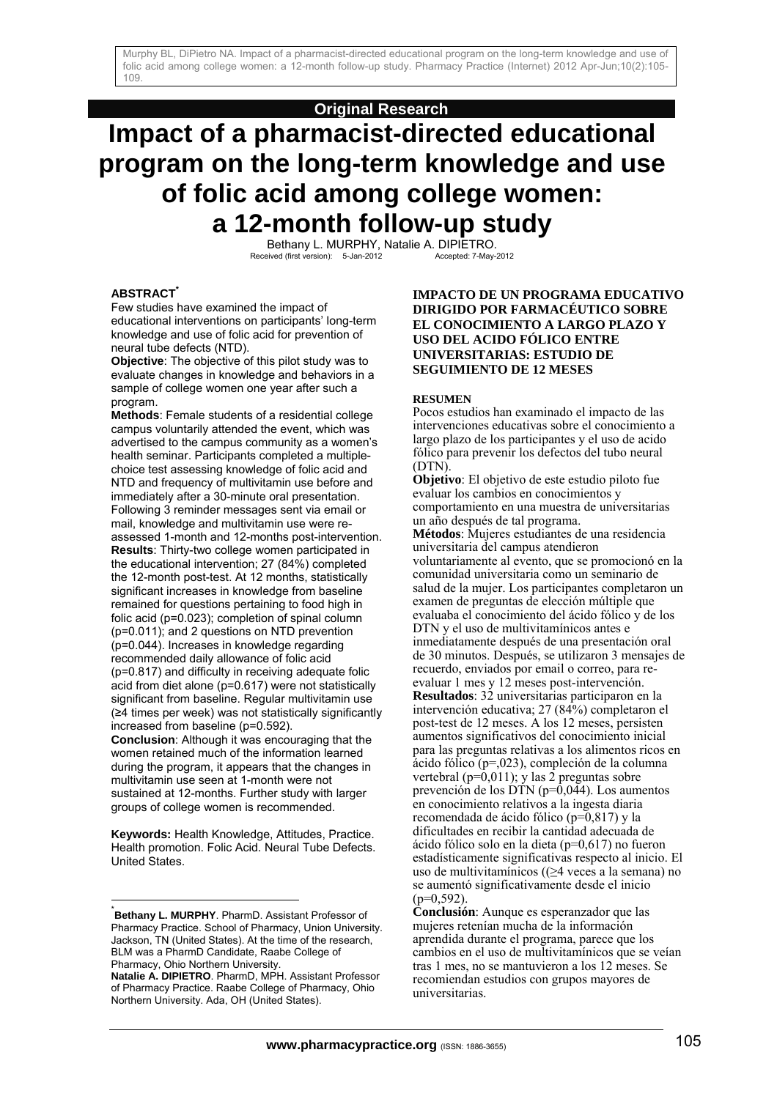## **Original Research**

# **Impact of a pharmacist-directed educational program on the long-term knowledge and use of folic acid among college women: a 12-month follow-up study**

Bethany L. MURPHY, Natalie A. DIPIETRO.<br>Received (first version): 5-Jan-2012<br>Accepted: 7-May-2012

#### **ABSTRACT\***

Few studies have examined the impact of educational interventions on participants' long-term knowledge and use of folic acid for prevention of neural tube defects (NTD).

**Objective**: The objective of this pilot study was to evaluate changes in knowledge and behaviors in a sample of college women one year after such a program.

**Methods**: Female students of a residential college campus voluntarily attended the event, which was advertised to the campus community as a women's health seminar. Participants completed a multiplechoice test assessing knowledge of folic acid and NTD and frequency of multivitamin use before and immediately after a 30-minute oral presentation. Following 3 reminder messages sent via email or mail, knowledge and multivitamin use were reassessed 1-month and 12-months post-intervention. **Results**: Thirty-two college women participated in the educational intervention; 27 (84%) completed the 12-month post-test. At 12 months, statistically significant increases in knowledge from baseline remained for questions pertaining to food high in folic acid (p=0.023); completion of spinal column (p=0.011); and 2 questions on NTD prevention (p=0.044). Increases in knowledge regarding recommended daily allowance of folic acid (p=0.817) and difficulty in receiving adequate folic acid from diet alone (p=0.617) were not statistically significant from baseline. Regular multivitamin use (≥4 times per week) was not statistically significantly increased from baseline (p=0.592).

**Conclusion**: Although it was encouraging that the women retained much of the information learned during the program, it appears that the changes in multivitamin use seen at 1-month were not sustained at 12-months. Further study with larger groups of college women is recommended.

**Keywords:** Health Knowledge, Attitudes, Practice. Health promotion. Folic Acid. Neural Tube Defects. United States.

l

#### **IMPACTO DE UN PROGRAMA EDUCATIVO DIRIGIDO POR FARMACÉUTICO SOBRE EL CONOCIMIENTO A LARGO PLAZO Y USO DEL ACIDO FÓLICO ENTRE UNIVERSITARIAS: ESTUDIO DE SEGUIMIENTO DE 12 MESES**

#### **RESUMEN**

Pocos estudios han examinado el impacto de las intervenciones educativas sobre el conocimiento a largo plazo de los participantes y el uso de acido fólico para prevenir los defectos del tubo neural (DTN).

**Objetivo**: El objetivo de este estudio piloto fue evaluar los cambios en conocimientos y comportamiento en una muestra de universitarias un año después de tal programa.

**Métodos**: Mujeres estudiantes de una residencia universitaria del campus atendieron voluntariamente al evento, que se promocionó en la comunidad universitaria como un seminario de salud de la mujer. Los participantes completaron un examen de preguntas de elección múltiple que evaluaba el conocimiento del ácido fólico y de los DTN y el uso de multivitamínicos antes e inmediatamente después de una presentación oral de 30 minutos. Después, se utilizaron 3 mensajes de recuerdo, enviados por email o correo, para reevaluar 1 mes y 12 meses post-intervención. **Resultados**: 32 universitarias participaron en la intervención educativa; 27 (84%) completaron el post-test de 12 meses. A los 12 meses, persisten aumentos significativos del conocimiento inicial para las preguntas relativas a los alimentos ricos en ácido fólico (p=,023), compleción de la columna vertebral ( $p=0,011$ ); y las 2 preguntas sobre prevención de los DTN ( $p=0,044$ ). Los aumentos en conocimiento relativos a la ingesta diaria recomendada de ácido fólico (p=0,817) y la dificultades en recibir la cantidad adecuada de ácido fólico solo en la dieta (p=0,617) no fueron estadísticamente significativas respecto al inicio. El uso de multivitamínicos ((≥4 veces a la semana) no se aumentó significativamente desde el inicio  $(p=0.592)$ .

**Conclusión**: Aunque es esperanzador que las mujeres retenían mucha de la información aprendida durante el programa, parece que los cambios en el uso de multivitamínicos que se veían tras 1 mes, no se mantuvieron a los 12 meses. Se recomiendan estudios con grupos mayores de universitarias.

<sup>\*</sup> **Bethany L. MURPHY**. PharmD. Assistant Professor of Pharmacy Practice. School of Pharmacy, Union University. Jackson, TN (United States). At the time of the research, BLM was a PharmD Candidate, Raabe College of Pharmacy, Ohio Northern University.

**Natalie A. DIPIETRO**. PharmD, MPH. Assistant Professor of Pharmacy Practice. Raabe College of Pharmacy, Ohio Northern University. Ada, OH (United States).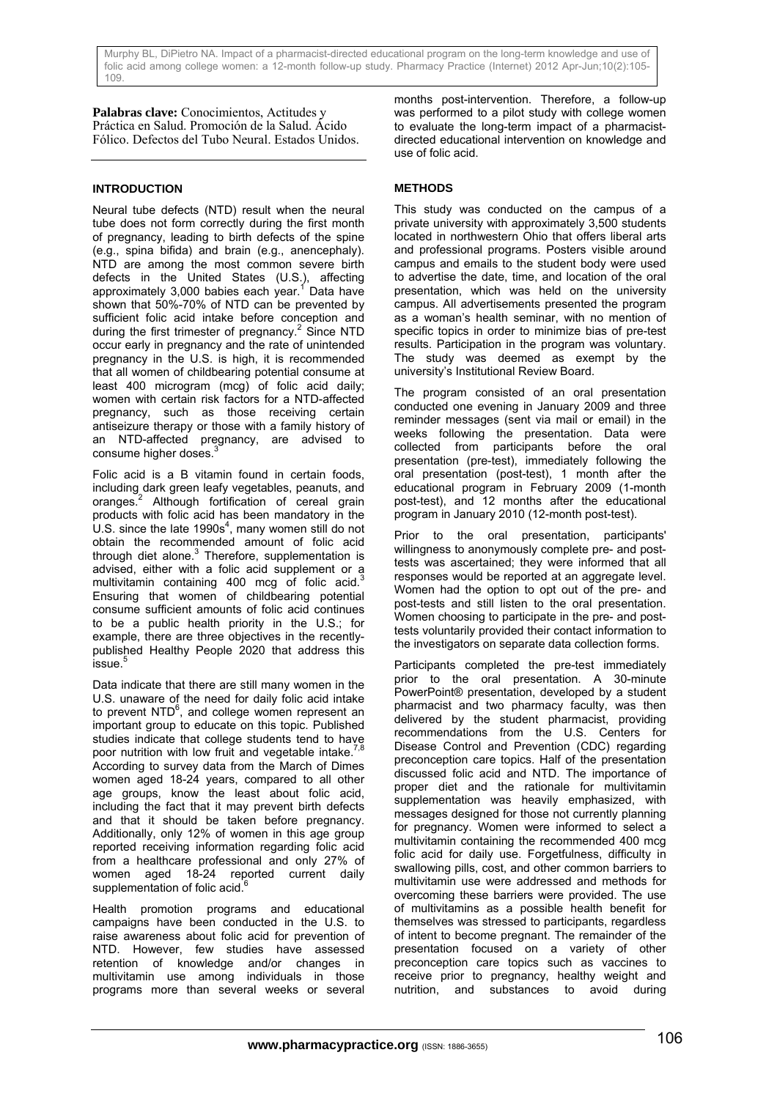Palabras clave: Conocimientos, Actitudes y Práctica en Salud. Promoción de la Salud. Ácido Fólico. Defectos del Tubo Neural. Estados Unidos.

#### **INTRODUCTION**

Neural tube defects (NTD) result when the neural tube does not form correctly during the first month of pregnancy, leading to birth defects of the spine (e.g., spina bifida) and brain (e.g., anencephaly). NTD are among the most common severe birth defects in the United States (U.S.), affecting approximately 3,000 babies each year.<sup>1</sup> Data have shown that 50%-70% of NTD can be prevented by sufficient folic acid intake before conception and during the first trimester of pregnancy.<sup>2</sup> Since NTD occur early in pregnancy and the rate of unintended pregnancy in the U.S. is high, it is recommended that all women of childbearing potential consume at least 400 microgram (mcg) of folic acid daily; women with certain risk factors for a NTD-affected pregnancy, such as those receiving certain antiseizure therapy or those with a family history of an NTD-affected pregnancy, are advised to consume higher doses.

Folic acid is a B vitamin found in certain foods, including dark green leafy vegetables, peanuts, and oranges.<sup>2</sup> Although fortification of cereal grain products with folic acid has been mandatory in the U.S. since the late  $1990s<sup>4</sup>$ , many women still do not obtain the recommended amount of folic acid through diet alone. $3$  Therefore, supplementation is advised, either with a folic acid supplement or a multivitamin containing 400 mcg of folic acid.<sup>3</sup> Ensuring that women of childbearing potential consume sufficient amounts of folic acid continues to be a public health priority in the U.S.; for example, there are three objectives in the recentlypublished Healthy People 2020 that address this  $i$ ssue

Data indicate that there are still many women in the U.S. unaware of the need for daily folic acid intake to prevent NTD $^6$ , and college women represent an important group to educate on this topic. Published studies indicate that college students tend to have poor nutrition with low fruit and vegetable intake.<sup>7,8</sup> According to survey data from the March of Dimes women aged 18-24 years, compared to all other age groups, know the least about folic acid, including the fact that it may prevent birth defects and that it should be taken before pregnancy. Additionally, only 12% of women in this age group reported receiving information regarding folic acid from a healthcare professional and only 27% of women aged 18-24 reported current daily supplementation of folic acid.<sup>6</sup>

Health promotion programs and educational campaigns have been conducted in the U.S. to raise awareness about folic acid for prevention of NTD. However, few studies have assessed retention of knowledge and/or changes in multivitamin use among individuals in those programs more than several weeks or several

months post-intervention. Therefore, a follow-up was performed to a pilot study with college women to evaluate the long-term impact of a pharmacistdirected educational intervention on knowledge and use of folic acid.

### **METHODS**

This study was conducted on the campus of a private university with approximately 3,500 students located in northwestern Ohio that offers liberal arts and professional programs. Posters visible around campus and emails to the student body were used to advertise the date, time, and location of the oral presentation, which was held on the university campus. All advertisements presented the program as a woman's health seminar, with no mention of specific topics in order to minimize bias of pre-test results. Participation in the program was voluntary. The study was deemed as exempt by the university's Institutional Review Board.

The program consisted of an oral presentation conducted one evening in January 2009 and three reminder messages (sent via mail or email) in the weeks following the presentation. Data were collected from participants before the oral presentation (pre-test), immediately following the oral presentation (post-test), 1 month after the educational program in February 2009 (1-month post-test), and 12 months after the educational program in January 2010 (12-month post-test).

Prior to the oral presentation, participants' willingness to anonymously complete pre- and posttests was ascertained; they were informed that all responses would be reported at an aggregate level. Women had the option to opt out of the pre- and post-tests and still listen to the oral presentation. Women choosing to participate in the pre- and posttests voluntarily provided their contact information to the investigators on separate data collection forms.

Participants completed the pre-test immediately prior to the oral presentation. A 30-minute PowerPoint® presentation, developed by a student pharmacist and two pharmacy faculty, was then delivered by the student pharmacist, providing recommendations from the U.S. Centers for Disease Control and Prevention (CDC) regarding preconception care topics. Half of the presentation discussed folic acid and NTD. The importance of proper diet and the rationale for multivitamin supplementation was heavily emphasized, with messages designed for those not currently planning for pregnancy. Women were informed to select a multivitamin containing the recommended 400 mcg folic acid for daily use. Forgetfulness, difficulty in swallowing pills, cost, and other common barriers to multivitamin use were addressed and methods for overcoming these barriers were provided. The use of multivitamins as a possible health benefit for themselves was stressed to participants, regardless of intent to become pregnant. The remainder of the presentation focused on a variety of other preconception care topics such as vaccines to receive prior to pregnancy, healthy weight and nutrition, and substances to avoid during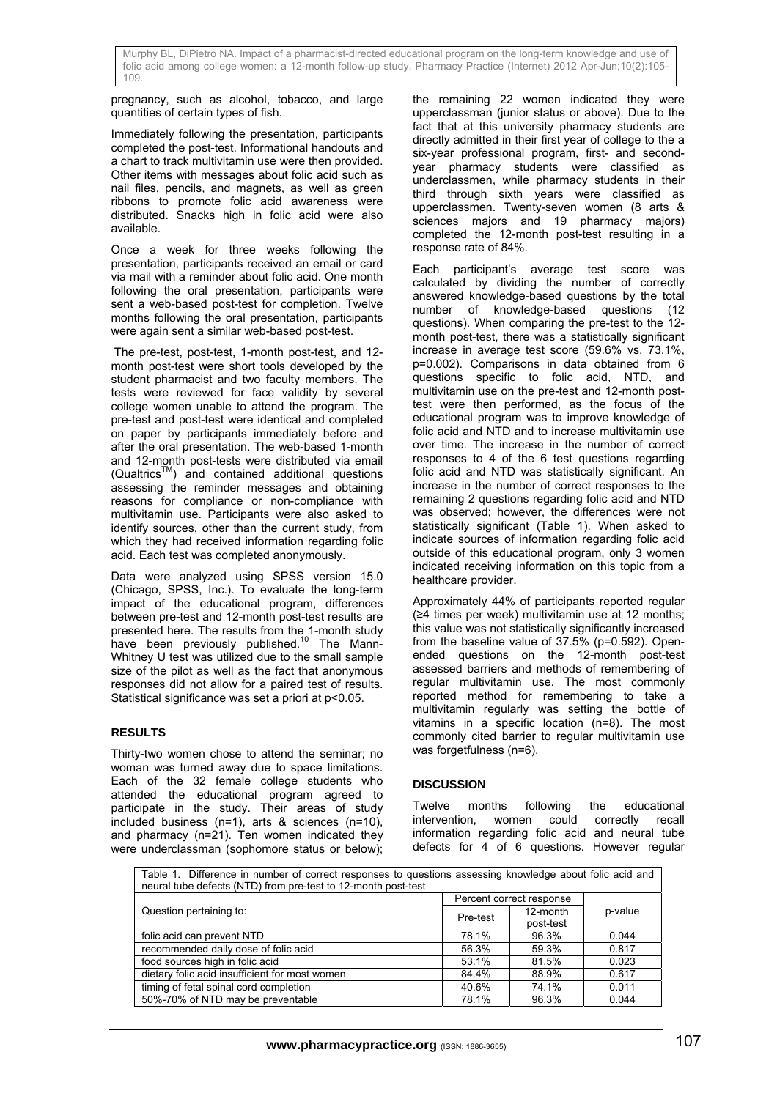pregnancy, such as alcohol, tobacco, and large quantities of certain types of fish.

Immediately following the presentation, participants completed the post-test. Informational handouts and a chart to track multivitamin use were then provided. Other items with messages about folic acid such as nail files, pencils, and magnets, as well as green ribbons to promote folic acid awareness were distributed. Snacks high in folic acid were also available.

Once a week for three weeks following the presentation, participants received an email or card via mail with a reminder about folic acid. One month following the oral presentation, participants were sent a web-based post-test for completion. Twelve months following the oral presentation, participants were again sent a similar web-based post-test.

 The pre-test, post-test, 1-month post-test, and 12 month post-test were short tools developed by the student pharmacist and two faculty members. The tests were reviewed for face validity by several college women unable to attend the program. The pre-test and post-test were identical and completed on paper by participants immediately before and after the oral presentation. The web-based 1-month and 12-month post-tests were distributed via email  $(Qualtrics<sup>TM</sup>)$  and contained additional questions assessing the reminder messages and obtaining reasons for compliance or non-compliance with multivitamin use. Participants were also asked to identify sources, other than the current study, from which they had received information regarding folic acid. Each test was completed anonymously.

Data were analyzed using SPSS version 15.0 (Chicago, SPSS, Inc.). To evaluate the long-term impact of the educational program, differences between pre-test and 12-month post-test results are presented here. The results from the 1-month study have been previously published.<sup>10</sup> The Mann-Whitney U test was utilized due to the small sample size of the pilot as well as the fact that anonymous responses did not allow for a paired test of results. Statistical significance was set a priori at p<0.05.

#### **RESULTS**

Thirty-two women chose to attend the seminar; no woman was turned away due to space limitations. Each of the 32 female college students who attended the educational program agreed to participate in the study. Their areas of study included business (n=1), arts & sciences (n=10), and pharmacy (n=21). Ten women indicated they were underclassman (sophomore status or below); the remaining 22 women indicated they were upperclassman (junior status or above). Due to the fact that at this university pharmacy students are directly admitted in their first year of college to the a six-year professional program, first- and secondyear pharmacy students were classified as underclassmen, while pharmacy students in their third through sixth years were classified as upperclassmen. Twenty-seven women (8 arts & sciences majors and 19 pharmacy majors) completed the 12-month post-test resulting in a response rate of 84%.

Each participant's average test score was calculated by dividing the number of correctly answered knowledge-based questions by the total number of knowledge-based questions (12 questions). When comparing the pre-test to the 12 month post-test, there was a statistically significant increase in average test score (59.6% vs. 73.1%, p=0.002). Comparisons in data obtained from 6 questions specific to folic acid, NTD, and multivitamin use on the pre-test and 12-month posttest were then performed, as the focus of the educational program was to improve knowledge of folic acid and NTD and to increase multivitamin use over time. The increase in the number of correct responses to 4 of the 6 test questions regarding folic acid and NTD was statistically significant. An increase in the number of correct responses to the remaining 2 questions regarding folic acid and NTD was observed; however, the differences were not statistically significant (Table 1). When asked to indicate sources of information regarding folic acid outside of this educational program, only 3 women indicated receiving information on this topic from a healthcare provider.

Approximately 44% of participants reported regular (≥4 times per week) multivitamin use at 12 months; this value was not statistically significantly increased from the baseline value of 37.5% (p=0.592). Openended questions on the 12-month post-test assessed barriers and methods of remembering of regular multivitamin use. The most commonly reported method for remembering to take a multivitamin regularly was setting the bottle of vitamins in a specific location (n=8). The most commonly cited barrier to regular multivitamin use was forgetfulness (n=6).

#### **DISCUSSION**

Twelve months following the educational intervention, women could correctly recall information regarding folic acid and neural tube defects for 4 of 6 questions. However regular

Table 1. Difference in number of correct responses to questions assessing knowledge about folic acid and neural tube defects (NTD) from pre-test to 12-month post-test

| Question pertaining to:                        | Percent correct response |           |         |
|------------------------------------------------|--------------------------|-----------|---------|
|                                                | Pre-test                 | 12-month  | p-value |
|                                                |                          | post-test |         |
| folic acid can prevent NTD                     | 78.1%                    | 96.3%     | 0.044   |
| recommended daily dose of folic acid           | 56.3%                    | 59.3%     | 0.817   |
| food sources high in folic acid                | 53.1%                    | 81.5%     | 0.023   |
| dietary folic acid insufficient for most women | 84.4%                    | 88.9%     | 0.617   |
| timing of fetal spinal cord completion         | 40.6%                    | 74.1%     | 0.011   |
| 50%-70% of NTD may be preventable              | 78.1%                    | 96.3%     | 0.044   |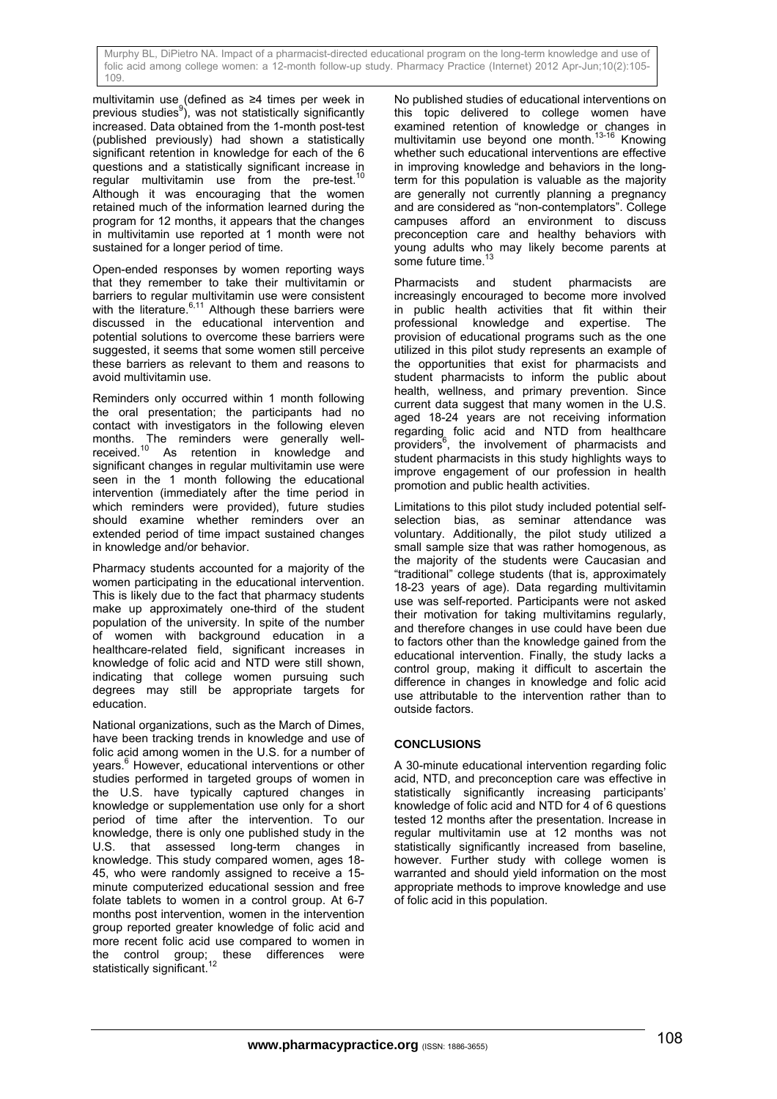multivitamin use (defined as ≥4 times per week in previous studies<sup>9</sup>), was not statistically significantly increased. Data obtained from the 1-month post-test (published previously) had shown a statistically significant retention in knowledge for each of the 6 questions and a statistically significant increase in regular multivitamin use from the pre-test.<sup>10</sup> Although it was encouraging that the women retained much of the information learned during the program for 12 months, it appears that the changes in multivitamin use reported at 1 month were not sustained for a longer period of time.

Open-ended responses by women reporting ways that they remember to take their multivitamin or barriers to regular multivitamin use were consistent with the literature. $6,11$  Although these barriers were discussed in the educational intervention and potential solutions to overcome these barriers were suggested, it seems that some women still perceive these barriers as relevant to them and reasons to avoid multivitamin use.

Reminders only occurred within 1 month following the oral presentation; the participants had no contact with investigators in the following eleven months. The reminders were generally wellmontris. The retinated world gottomany<br>received.<sup>10</sup> As retention in knowledge and significant changes in regular multivitamin use were seen in the 1 month following the educational intervention (immediately after the time period in which reminders were provided), future studies should examine whether reminders over an extended period of time impact sustained changes in knowledge and/or behavior.

Pharmacy students accounted for a majority of the women participating in the educational intervention. This is likely due to the fact that pharmacy students make up approximately one-third of the student population of the university. In spite of the number of women with background education in a healthcare-related field, significant increases in knowledge of folic acid and NTD were still shown, indicating that college women pursuing such degrees may still be appropriate targets for education.

National organizations, such as the March of Dimes, have been tracking trends in knowledge and use of folic acid among women in the U.S. for a number of years.<sup>6</sup> However, educational interventions or other studies performed in targeted groups of women in the U.S. have typically captured changes in knowledge or supplementation use only for a short period of time after the intervention. To our knowledge, there is only one published study in the U.S. that assessed long-term changes in knowledge. This study compared women, ages 18- 45, who were randomly assigned to receive a 15 minute computerized educational session and free folate tablets to women in a control group. At 6-7 months post intervention, women in the intervention group reported greater knowledge of folic acid and more recent folic acid use compared to women in the control group; these differences were statistically significant.<sup>12</sup>

No published studies of educational interventions on this topic delivered to college women have examined retention of knowledge or changes in multivitamin use beyond one month.13-16 Knowing whether such educational interventions are effective in improving knowledge and behaviors in the longterm for this population is valuable as the majority are generally not currently planning a pregnancy and are considered as "non-contemplators". College campuses afford an environment to discuss preconception care and healthy behaviors with young adults who may likely become parents at some future time.<sup>1</sup>

Pharmacists and student pharmacists are increasingly encouraged to become more involved in public health activities that fit within their professional knowledge and expertise. provision of educational programs such as the one utilized in this pilot study represents an example of the opportunities that exist for pharmacists and student pharmacists to inform the public about health, wellness, and primary prevention. Since current data suggest that many women in the U.S. aged 18-24 years are not receiving information regarding folic acid and NTD from healthcare providers<sup>6</sup>, the involvement of pharmacists and student pharmacists in this study highlights ways to improve engagement of our profession in health promotion and public health activities.

Limitations to this pilot study included potential selfselection bias, as seminar attendance was voluntary. Additionally, the pilot study utilized a small sample size that was rather homogenous, as the majority of the students were Caucasian and "traditional" college students (that is, approximately 18-23 years of age). Data regarding multivitamin use was self-reported. Participants were not asked their motivation for taking multivitamins regularly, and therefore changes in use could have been due to factors other than the knowledge gained from the educational intervention. Finally, the study lacks a control group, making it difficult to ascertain the difference in changes in knowledge and folic acid use attributable to the intervention rather than to outside factors.

#### **CONCLUSIONS**

A 30-minute educational intervention regarding folic acid, NTD, and preconception care was effective in statistically significantly increasing participants' knowledge of folic acid and NTD for 4 of 6 questions tested 12 months after the presentation. Increase in regular multivitamin use at 12 months was not statistically significantly increased from baseline, however. Further study with college women is warranted and should yield information on the most appropriate methods to improve knowledge and use of folic acid in this population.